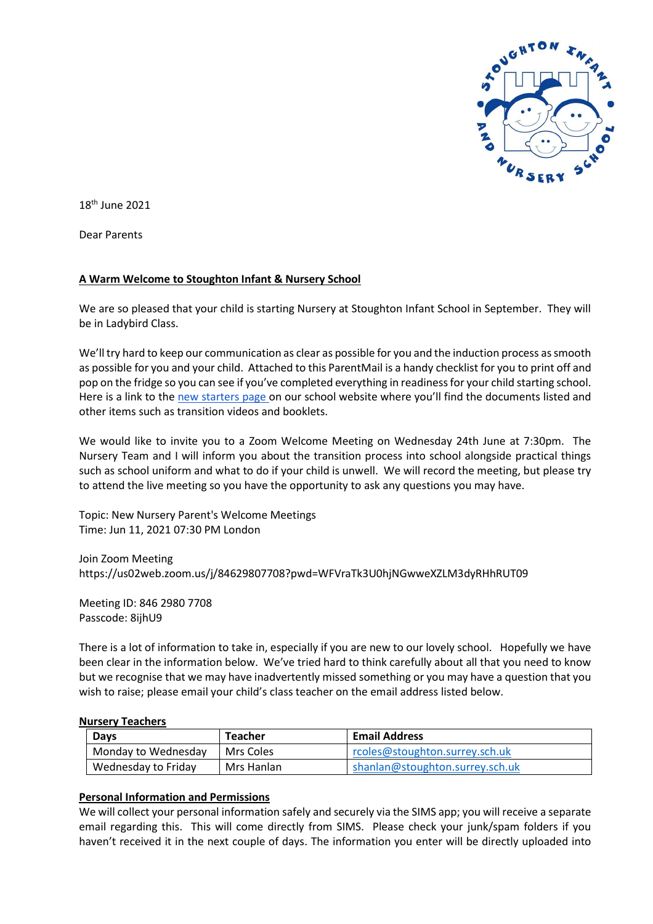

18th June 2021

Dear Parents

## **A Warm Welcome to Stoughton Infant & Nursery School**

We are so pleased that your child is starting Nursery at Stoughton Infant School in September. They will be in Ladybird Class.

We'll try hard to keep our communication as clear as possible for you and the induction process as smooth as possible for you and your child. Attached to this ParentMail is a handy checklist for you to print off and pop on the fridge so you can see if you've completed everything in readiness for your child starting school. Here is a link to the [new starters page](https://www.stoughton.surrey.sch.uk/new-starters-2020-21) on our school website where you'll find the documents listed and other items such as transition videos and booklets.

We would like to invite you to a Zoom Welcome Meeting on Wednesday 24th June at 7:30pm. The Nursery Team and I will inform you about the transition process into school alongside practical things such as school uniform and what to do if your child is unwell. We will record the meeting, but please try to attend the live meeting so you have the opportunity to ask any questions you may have.

Topic: New Nursery Parent's Welcome Meetings Time: Jun 11, 2021 07:30 PM London

Join Zoom Meeting https://us02web.zoom.us/j/84629807708?pwd=WFVraTk3U0hjNGwweXZLM3dyRHhRUT09

Meeting ID: 846 2980 7708 Passcode: 8ijhU9

There is a lot of information to take in, especially if you are new to our lovely school. Hopefully we have been clear in the information below. We've tried hard to think carefully about all that you need to know but we recognise that we may have inadvertently missed something or you may have a question that you wish to raise; please email your child's class teacher on the email address listed below.

#### **Nursery Teachers**

| Days                | Teacher    | <b>Email Address</b>            |
|---------------------|------------|---------------------------------|
| Monday to Wednesday | Mrs Coles  | rcoles@stoughton.surrey.sch.uk  |
| Wednesday to Friday | Mrs Hanlan | shanlan@stoughton.surrey.sch.uk |

#### **Personal Information and Permissions**

We will collect your personal information safely and securely via the SIMS app; you will receive a separate email regarding this. This will come directly from SIMS. Please check your junk/spam folders if you haven't received it in the next couple of days. The information you enter will be directly uploaded into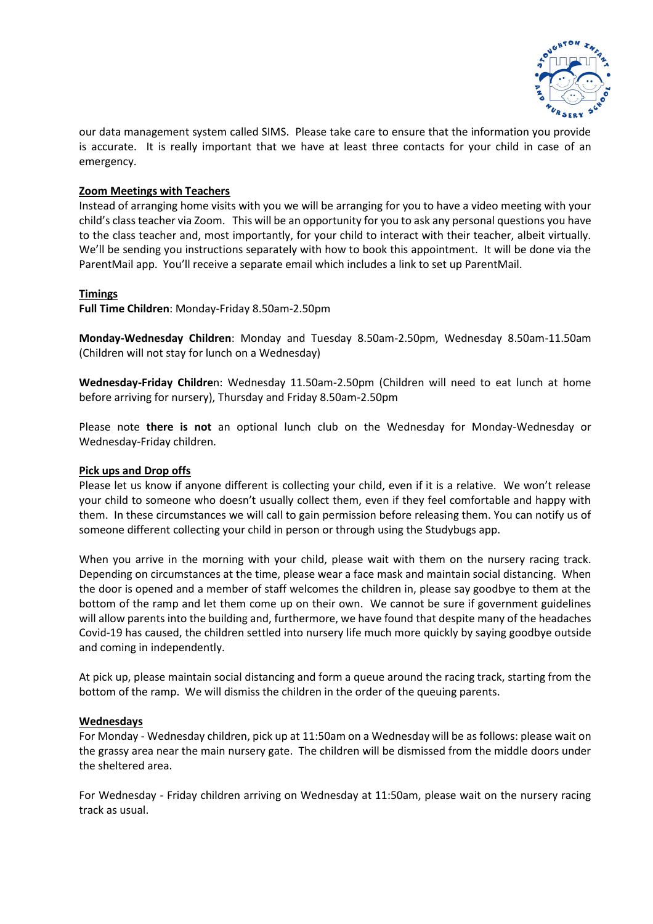

our data management system called SIMS. Please take care to ensure that the information you provide is accurate. It is really important that we have at least three contacts for your child in case of an emergency.

## **Zoom Meetings with Teachers**

Instead of arranging home visits with you we will be arranging for you to have a video meeting with your child's class teacher via Zoom. This will be an opportunity for you to ask any personal questions you have to the class teacher and, most importantly, for your child to interact with their teacher, albeit virtually. We'll be sending you instructions separately with how to book this appointment. It will be done via the ParentMail app. You'll receive a separate email which includes a link to set up ParentMail.

#### **Timings**

**Full Time Children**: Monday-Friday 8.50am-2.50pm

**Monday-Wednesday Children**: Monday and Tuesday 8.50am-2.50pm, Wednesday 8.50am-11.50am (Children will not stay for lunch on a Wednesday)

**Wednesday-Friday Childre**n: Wednesday 11.50am-2.50pm (Children will need to eat lunch at home before arriving for nursery), Thursday and Friday 8.50am-2.50pm

Please note **there is not** an optional lunch club on the Wednesday for Monday-Wednesday or Wednesday-Friday children.

#### **Pick ups and Drop offs**

Please let us know if anyone different is collecting your child, even if it is a relative. We won't release your child to someone who doesn't usually collect them, even if they feel comfortable and happy with them. In these circumstances we will call to gain permission before releasing them. You can notify us of someone different collecting your child in person or through using the Studybugs app.

When you arrive in the morning with your child, please wait with them on the nursery racing track. Depending on circumstances at the time, please wear a face mask and maintain social distancing. When the door is opened and a member of staff welcomes the children in, please say goodbye to them at the bottom of the ramp and let them come up on their own. We cannot be sure if government guidelines will allow parents into the building and, furthermore, we have found that despite many of the headaches Covid-19 has caused, the children settled into nursery life much more quickly by saying goodbye outside and coming in independently.

At pick up, please maintain social distancing and form a queue around the racing track, starting from the bottom of the ramp. We will dismiss the children in the order of the queuing parents.

#### **Wednesdays**

For Monday - Wednesday children, pick up at 11:50am on a Wednesday will be as follows: please wait on the grassy area near the main nursery gate. The children will be dismissed from the middle doors under the sheltered area.

For Wednesday - Friday children arriving on Wednesday at 11:50am, please wait on the nursery racing track as usual.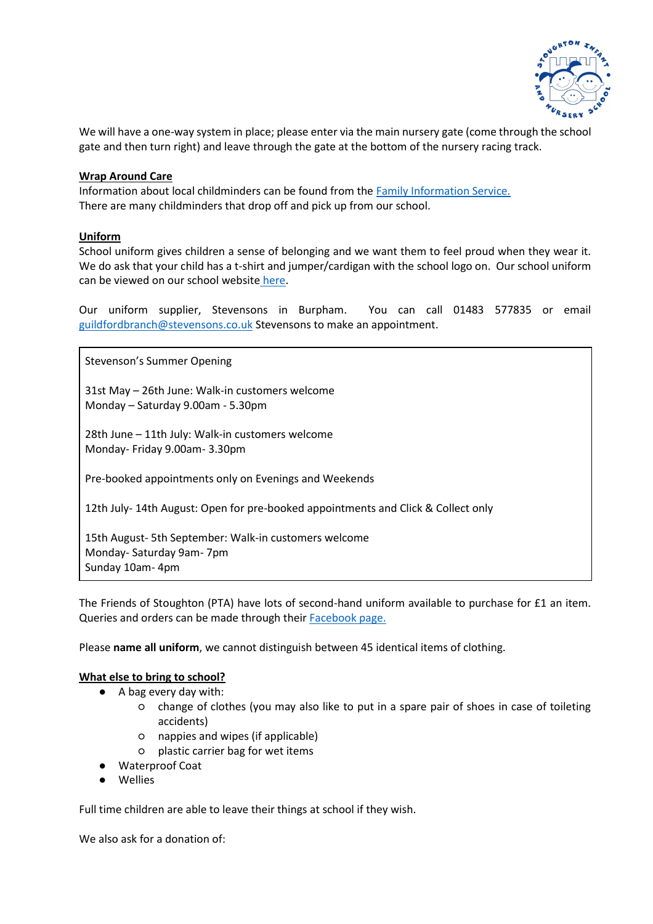

We will have a one-way system in place; please enter via the main nursery gate (come through the school gate and then turn right) and leave through the gate at the bottom of the nursery racing track.

## **Wrap Around Care**

Information about local childminders can be found from the [Family Information Service.](https://www.surreycc.gov.uk/people-and-community/families)  There are many childminders that drop off and pick up from our school.

## **Uniform**

School uniform gives children a sense of belonging and we want them to feel proud when they wear it. We do ask that your child has a t-shirt and jumper/cardigan with the school logo on. Our school uniform can be viewed on our school website [here.](https://www.stoughton.surrey.sch.uk/school-uniform)

Our uniform supplier, Stevensons in Burpham. You can call 01483 577835 or email [guildfordbranch@stevensons.co.uk](mailto:guildfordbranch@stevensons.co.uk) Stevensons to make an appointment.

Stevenson's Summer Opening

31st May – 26th June: Walk-in customers welcome Monday – Saturday 9.00am - 5.30pm

28th June – 11th July: Walk-in customers welcome Monday- Friday 9.00am- 3.30pm

Pre-booked appointments only on Evenings and Weekends

12th July- 14th August: Open for pre-booked appointments and Click & Collect only

15th August- 5th September: Walk-in customers welcome Monday- Saturday 9am- 7pm Sunday 10am- 4pm

The Friends of Stoughton (PTA) have lots of second-hand uniform available to purchase for £1 an item. Queries and orders can be made through their [Facebook page.](https://www.facebook.com/StoughtonUniform/?__tn__=kC-R&eid=ARCsXZW-RB4qvKx8J59vDPIeuyt600CkKLJavtC-gpf3VgcbZA87nU1bVmr3bTRBKb9Z_3hKfgIk-IMO&hc_ref=ARTOUhPMzyt0VaQ9_Kr6aFV7eH85lrUZS9yiT2XMK6iIcIKxPt-_cZshuKY5YLcydeA&fref=nf&__xts__%5b0%5d=68.ARDYsaFeLZAwvClmAigeAHoJkWNS4j6xECBaCxhKLEgHl5yCkEK-tETw7ezHJyTKGLEHF2-a7O-k8dFbMuakHFoCxWc-6QYw84Vroa49wOrWTJvC0UAGYNi95EwiM6SO4sYDNUDPaTl0wWWr5hv7gKvNv-Vp6gbVBgNmqwt0aKgcO9qpWq6brFIGAcfji4DHvRLCacChGMrJNg92smWU--ghhVi6QCtWkLsDiB2mpWz4cWXK7MnfNkeqV__TAJKmk7G4l1KS_LxPzygb4mg6e7N7ZOgMIqs1__1qIAze-gBcIA2oRjxTItKFeKYcmwbltrIzct_EdTayIo97HA6bD90)

Please **name all uniform**, we cannot distinguish between 45 identical items of clothing.

#### **What else to bring to school?**

- A bag every day with:
	- change of clothes (you may also like to put in a spare pair of shoes in case of toileting accidents)
	- nappies and wipes (if applicable)
	- plastic carrier bag for wet items
- Waterproof Coat
- **Wellies**

Full time children are able to leave their things at school if they wish.

We also ask for a donation of: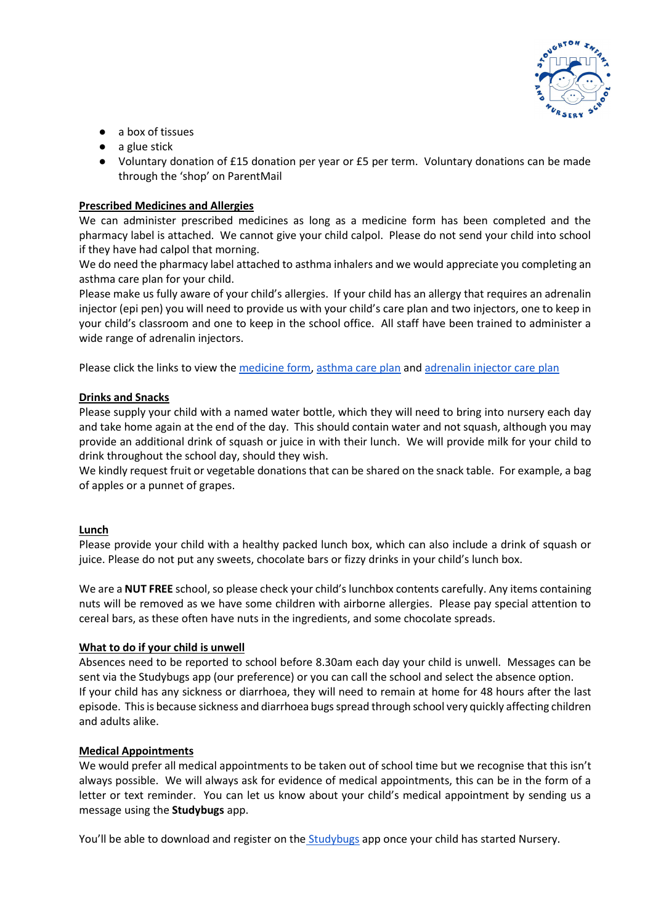

- a box of tissues
- $\bullet$  a glue stick
- Voluntary donation of £15 donation per year or £5 per term. Voluntary donations can be made through the 'shop' on ParentMail

## **Prescribed Medicines and Allergies**

We can administer prescribed medicines as long as a medicine form has been completed and the pharmacy label is attached. We cannot give your child calpol. Please do not send your child into school if they have had calpol that morning.

We do need the pharmacy label attached to asthma inhalers and we would appreciate you completing an asthma care plan for your child.

Please make us fully aware of your child's allergies. If your child has an allergy that requires an adrenalin injector (epi pen) you will need to provide us with your child's care plan and two injectors, one to keep in your child's classroom and one to keep in the school office. All staff have been trained to administer a wide range of adrenalin injectors.

Please click the links to view the [medicine form,](https://d6a1f8b6-5630-4310-9c3b-9044f0d4989a.filesusr.com/ugd/40334e_bfa3c3a706b04218807464bfba891b70.pdf) [asthma care plan](https://d6a1f8b6-5630-4310-9c3b-9044f0d4989a.filesusr.com/ugd/40334e_7bb16d90ca03420fb718c23e62810464.pdf) an[d adrenalin injector care plan](https://d6a1f8b6-5630-4310-9c3b-9044f0d4989a.filesusr.com/ugd/40334e_a1176f2efcd14d2ab5c9c3b63844080e.pdf)

## **Drinks and Snacks**

Please supply your child with a named water bottle, which they will need to bring into nursery each day and take home again at the end of the day. This should contain water and not squash, although you may provide an additional drink of squash or juice in with their lunch. We will provide milk for your child to drink throughout the school day, should they wish.

We kindly request fruit or vegetable donations that can be shared on the snack table. For example, a bag of apples or a punnet of grapes.

#### **Lunch**

Please provide your child with a healthy packed lunch box, which can also include a drink of squash or juice. Please do not put any sweets, chocolate bars or fizzy drinks in your child's lunch box.

We are a **NUT FREE** school, so please check your child's lunchbox contents carefully. Any items containing nuts will be removed as we have some children with airborne allergies. Please pay special attention to cereal bars, as these often have nuts in the ingredients, and some chocolate spreads.

#### **What to do if your child is unwell**

Absences need to be reported to school before 8.30am each day your child is unwell. Messages can be sent via the Studybugs app (our preference) or you can call the school and select the absence option. If your child has any sickness or diarrhoea, they will need to remain at home for 48 hours after the last episode. This is because sickness and diarrhoea bugs spread through school very quickly affecting children and adults alike.

#### **Medical Appointments**

We would prefer all medical appointments to be taken out of school time but we recognise that this isn't always possible. We will always ask for evidence of medical appointments, this can be in the form of a letter or text reminder. You can let us know about your child's medical appointment by sending us a message using the **Studybugs** app.

You'll be able to download and register on the [Studybugs](https://studybugs.com/) app once your child has started Nursery.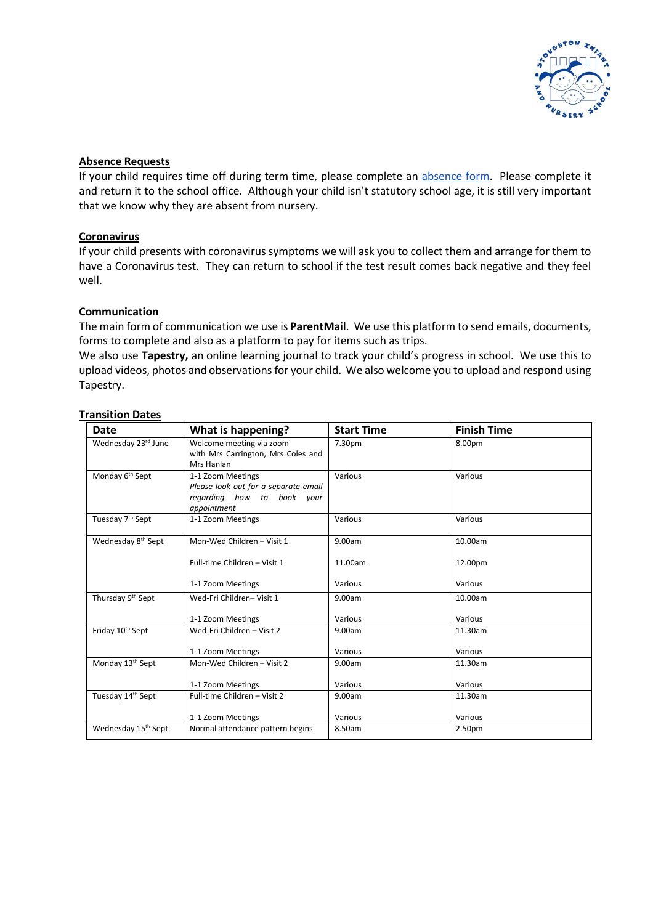

## **Absence Requests**

If your child requires time off during term time, please complete an [absence form.](https://d6a1f8b6-5630-4310-9c3b-9044f0d4989a.filesusr.com/ugd/40334e_89b91bd9339f4042b4bc922b9bf4c908.pdf) Please complete it and return it to the school office. Although your child isn't statutory school age, it is still very important that we know why they are absent from nursery.

## **Coronavirus**

If your child presents with coronavirus symptoms we will ask you to collect them and arrange for them to have a Coronavirus test. They can return to school if the test result comes back negative and they feel well.

## **Communication**

The main form of communication we use is **ParentMail**. We use this platform to send emails, documents, forms to complete and also as a platform to pay for items such as trips.

We also use **Tapestry,** an online learning journal to track your child's progress in school. We use this to upload videos, photos and observations for your child. We also welcome you to upload and respond using Tapestry.

## **Transition Dates**

| Date                            | What is happening?                                                                                     | <b>Start Time</b> | <b>Finish Time</b> |
|---------------------------------|--------------------------------------------------------------------------------------------------------|-------------------|--------------------|
| Wednesday 23rd June             | Welcome meeting via zoom<br>with Mrs Carrington, Mrs Coles and<br>Mrs Hanlan                           | 7.30pm            | 8.00pm             |
| Monday 6 <sup>th</sup> Sept     | 1-1 Zoom Meetings<br>Please look out for a separate email<br>regarding how to book your<br>appointment | Various           | Various            |
| Tuesday 7th Sept                | 1-1 Zoom Meetings                                                                                      | Various           | Various            |
| Wednesday 8th Sept              | Mon-Wed Children - Visit 1                                                                             | 9.00am            | 10.00am            |
|                                 | Full-time Children - Visit 1                                                                           | 11.00am           | 12.00pm            |
|                                 | 1-1 Zoom Meetings                                                                                      | Various           | Various            |
| Thursday 9 <sup>th</sup> Sept   | Wed-Fri Children-Visit 1                                                                               | 9.00am            | 10.00am            |
|                                 | 1-1 Zoom Meetings                                                                                      | Various           | Various            |
| Friday 10th Sept                | Wed-Fri Children - Visit 2                                                                             | 9.00am            | 11.30am            |
|                                 | 1-1 Zoom Meetings                                                                                      | Various           | Various            |
| Monday 13 <sup>th</sup> Sept    | Mon-Wed Children - Visit 2                                                                             | 9.00am            | 11.30am            |
|                                 | 1-1 Zoom Meetings                                                                                      | Various           | Various            |
| Tuesday 14th Sept               | Full-time Children - Visit 2                                                                           | 9.00am            | 11.30am            |
|                                 | 1-1 Zoom Meetings                                                                                      | Various           | Various            |
| Wednesday 15 <sup>th</sup> Sept | Normal attendance pattern begins                                                                       | 8.50am            | 2.50pm             |